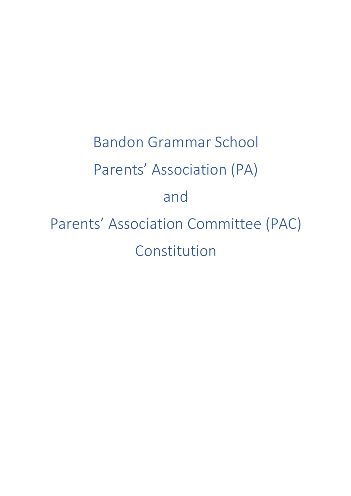Bandon Grammar School Parents' Association (PA) and Parents' Association Committee (PAC) Constitution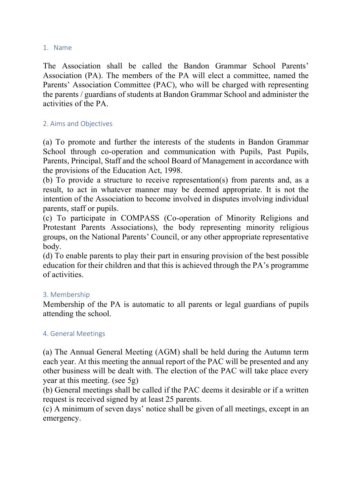### 1. Name

The Association shall be called the Bandon Grammar School Parents' Association (PA). The members of the PA will elect a committee, named the Parents' Association Committee (PAC), who will be charged with representing the parents / guardians of students at Bandon Grammar School and administer the activities of the PA.

## 2. Aims and Objectives

(a) To promote and further the interests of the students in Bandon Grammar School through co-operation and communication with Pupils, Past Pupils, Parents, Principal, Staff and the school Board of Management in accordance with the provisions of the Education Act, 1998.

(b) To provide a structure to receive representation(s) from parents and, as a result, to act in whatever manner may be deemed appropriate. It is not the intention of the Association to become involved in disputes involving individual parents, staff or pupils.

(c) To participate in COMPASS (Co-operation of Minority Religions and Protestant Parents Associations), the body representing minority religious groups, on the National Parents' Council, or any other appropriate representative body.

(d) To enable parents to play their part in ensuring provision of the best possible education for their children and that this is achieved through the PA's programme of activities.

### 3. Membership

Membership of the PA is automatic to all parents or legal guardians of pupils attending the school.

# 4. General Meetings

(a) The Annual General Meeting (AGM) shall be held during the Autumn term each year. At this meeting the annual report of the PAC will be presented and any other business will be dealt with. The election of the PAC will take place every year at this meeting. (see 5g)

(b) General meetings shall be called if the PAC deems it desirable or if a written request is received signed by at least 25 parents.

(c) A minimum of seven days' notice shall be given of all meetings, except in an emergency.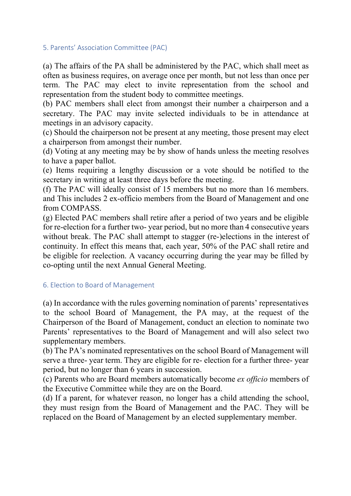#### 5. Parents' Association Committee (PAC)

(a) The affairs of the PA shall be administered by the PAC, which shall meet as often as business requires, on average once per month, but not less than once per term. The PAC may elect to invite representation from the school and representation from the student body to committee meetings.

(b) PAC members shall elect from amongst their number a chairperson and a secretary. The PAC may invite selected individuals to be in attendance at meetings in an advisory capacity.

(c) Should the chairperson not be present at any meeting, those present may elect a chairperson from amongst their number.

(d) Voting at any meeting may be by show of hands unless the meeting resolves to have a paper ballot.

(e) Items requiring a lengthy discussion or a vote should be notified to the secretary in writing at least three days before the meeting.

(f) The PAC will ideally consist of 15 members but no more than 16 members. and This includes 2 ex-officio members from the Board of Management and one from COMPASS.

(g) Elected PAC members shall retire after a period of two years and be eligible for re-election for a further two- year period, but no more than 4 consecutive years without break. The PAC shall attempt to stagger (re-)elections in the interest of continuity. In effect this means that, each year, 50% of the PAC shall retire and be eligible for reelection. A vacancy occurring during the year may be filled by co-opting until the next Annual General Meeting.

### 6. Election to Board of Management

(a) In accordance with the rules governing nomination of parents' representatives to the school Board of Management, the PA may, at the request of the Chairperson of the Board of Management, conduct an election to nominate two Parents' representatives to the Board of Management and will also select two supplementary members.

(b) The PA's nominated representatives on the school Board of Management will serve a three- year term. They are eligible for re- election for a further three- year period, but no longer than 6 years in succession.

(c) Parents who are Board members automatically become *ex officio* members of the Executive Committee while they are on the Board.

(d) If a parent, for whatever reason, no longer has a child attending the school, they must resign from the Board of Management and the PAC. They will be replaced on the Board of Management by an elected supplementary member.